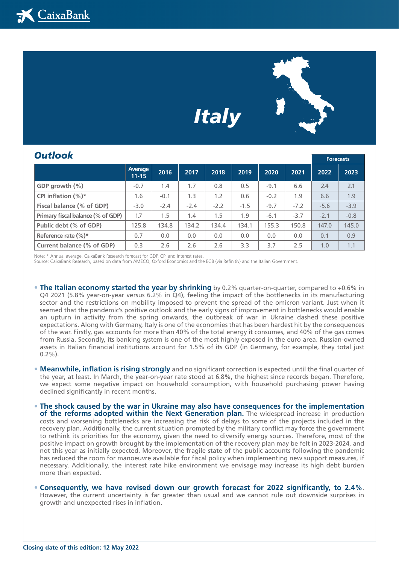## *Italy*



| <b>Outlook</b>                    |                      |        |        |        |        |        |        | <b>Forecasts</b> |        |
|-----------------------------------|----------------------|--------|--------|--------|--------|--------|--------|------------------|--------|
|                                   | Average<br>$11 - 15$ | 2016   | 2017   | 2018   | 2019   | 2020   | 2021   | 2022             | 2023   |
| GDP growth $(\%)$                 | $-0.7$               | 1.4    | 1.7    | 0.8    | 0.5    | $-9.1$ | 6.6    | 2.4              | 2.1    |
| CPI inflation $(\%)^*$            | 1.6                  | $-0.1$ | 1.3    | 1.2    | 0.6    | $-0.2$ | 1.9    | 6.6              | 1.9    |
| Fiscal balance (% of GDP)         | $-3.0$               | $-2.4$ | $-2.4$ | $-2.2$ | $-1.5$ | $-9.7$ | $-7.2$ | $-5.6$           | $-3.9$ |
| Primary fiscal balance (% of GDP) | 1.7                  | 1.5    | 1.4    | 1.5    | 1.9    | $-6.1$ | $-3.7$ | $-2.1$           | $-0.8$ |
| Public debt (% of GDP)            | 125.8                | 134.8  | 134.2  | 134.4  | 134.1  | 155.3  | 150.8  | 147.0            | 145.0  |
| Reference rate $(\%)^*$           | 0.7                  | 0.0    | 0.0    | 0.0    | 0.0    | 0.0    | 0.0    | 0.1              | 0.9    |
| Current balance (% of GDP)        | 0.3                  | 2.6    | 2.6    | 2.6    | 3.3    | 3.7    | 2.5    | 1.0              | 1.1    |

Note: \* Annual average. CaixaBank Research forecast for GDP, CPI and interest rates.

Source: CaixaBank Research, based on data from AMECO, Oxford Economics and the ECB (via Refinitiv) and the Italian Government.

- **• The Italian economy started the year by shrinking** by 0.2% quarter-on-quarter, compared to +0.6% in Q4 2021 (5.8% year-on-year versus 6.2% in Q4), feeling the impact of the bottlenecks in its manufacturing sector and the restrictions on mobility imposed to prevent the spread of the omicron variant. Just when it seemed that the pandemic's positive outlook and the early signs of improvement in bottlenecks would enable an upturn in activity from the spring onwards, the outbreak of war in Ukraine dashed these positive expectations. Along with Germany, Italy is one of the economies that has been hardest hit by the consequences of the war. Firstly, gas accounts for more than 40% of the total energy it consumes, and 40% of the gas comes from Russia. Secondly, its banking system is one of the most highly exposed in the euro area. Russian-owned assets in Italian financial institutions account for 1.5% of its GDP (in Germany, for example, they total just  $0.2\%$ ).
- **• Meanwhile, inflation is rising strongly** and no significant correction is expected until the final quarter of the year, at least. In March, the year-on-year rate stood at 6.8%, the highest since records began. Therefore, we expect some negative impact on household consumption, with household purchasing power having declined significantly in recent months.
- **• The shock caused by the war in Ukraine may also have consequences for the implementation of the reforms adopted within the Next Generation plan.** The widespread increase in production costs and worsening bottlenecks are increasing the risk of delays to some of the projects included in the recovery plan. Additionally, the current situation prompted by the military conflict may force the government to rethink its priorities for the economy, given the need to diversify energy sources. Therefore, most of the positive impact on growth brought by the implementation of the recovery plan may be felt in 2023-2024, and not this year as initially expected. Moreover, the fragile state of the public accounts following the pandemic has reduced the room for manoeuvre available for fiscal policy when implementing new support measures, if necessary. Additionally, the interest rate hike environment we envisage may increase its high debt burden more than expected.
- **• Consequently, we have revised down our growth forecast for 2022 significantly, to 2.4%**. However, the current uncertainty is far greater than usual and we cannot rule out downside surprises in growth and unexpected rises in inflation.